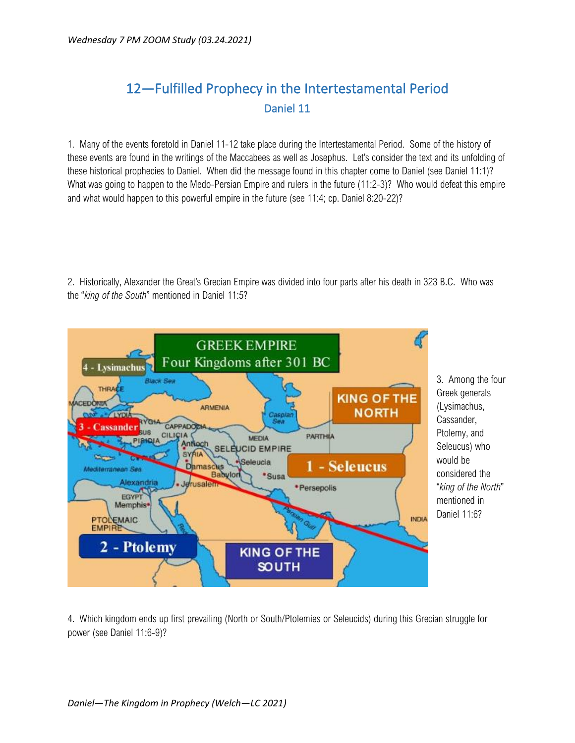## 12—Fulfilled Prophecy in the Intertestamental Period Daniel 11

1. Many of the events foretold in Daniel 11-12 take place during the Intertestamental Period. Some of the history of these events are found in the writings of the Maccabees as well as Josephus. Let's consider the text and its unfolding of these historical prophecies to Daniel. When did the message found in this chapter come to Daniel (see Daniel 11:1)? What was going to happen to the Medo-Persian Empire and rulers in the future (11:2-3)? Who would defeat this empire and what would happen to this powerful empire in the future (see 11:4; cp. Daniel 8:20-22)?

2. Historically, Alexander the Great's Grecian Empire was divided into four parts after his death in 323 B.C. Who was the "*king of the South*" mentioned in Daniel 11:5?



4. Which kingdom ends up first prevailing (North or South/Ptolemies or Seleucids) during this Grecian struggle for power (see Daniel 11:6-9)?